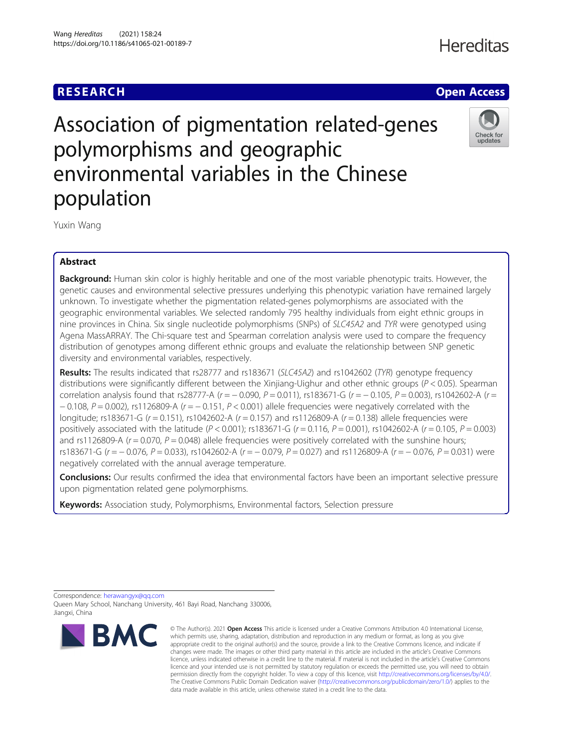## **Hereditas**



# Association of pigmentation related-genes polymorphisms and geographic environmental variables in the Chinese population



Yuxin Wang

### Abstract

Background: Human skin color is highly heritable and one of the most variable phenotypic traits. However, the genetic causes and environmental selective pressures underlying this phenotypic variation have remained largely unknown. To investigate whether the pigmentation related-genes polymorphisms are associated with the geographic environmental variables. We selected randomly 795 healthy individuals from eight ethnic groups in nine provinces in China. Six single nucleotide polymorphisms (SNPs) of SLC45A2 and TYR were genotyped using Agena MassARRAY. The Chi-square test and Spearman correlation analysis were used to compare the frequency distribution of genotypes among different ethnic groups and evaluate the relationship between SNP genetic diversity and environmental variables, respectively.

Results: The results indicated that rs28777 and rs183671 (SLC45A2) and rs1042602 (TYR) genotype frequency distributions were significantly different between the Xinjiang-Uighur and other ethnic groups ( $P < 0.05$ ). Spearman correlation analysis found that rs28777-A (r = − 0.090, P = 0.011), rs183671-G (r = − 0.105, P = 0.003), rs1042602-A (r =  $-0.108$ ,  $P = 0.002$ ), rs1126809-A (r =  $-0.151$ ,  $P < 0.001$ ) allele frequencies were negatively correlated with the longitude; rs183671-G (r = 0.151), rs1042602-A (r = 0.157) and rs1126809-A (r = 0.138) allele frequencies were positively associated with the latitude ( $P < 0.001$ ); rs183671-G ( $r = 0.116$ ,  $P = 0.001$ ), rs1042602-A ( $r = 0.105$ ,  $P = 0.003$ ) and rs1126809-A ( $r = 0.070$ ,  $P = 0.048$ ) allele frequencies were positively correlated with the sunshine hours; rs183671-G (r = - 0.076, P = 0.033), rs1042602-A (r = - 0.079, P = 0.027) and rs1126809-A (r = - 0.076, P = 0.031) were negatively correlated with the annual average temperature.

**Conclusions:** Our results confirmed the idea that environmental factors have been an important selective pressure upon pigmentation related gene polymorphisms.

Keywords: Association study, Polymorphisms, Environmental factors, Selection pressure

Correspondence: [herawangyx@qq.com](mailto:herawangyx@qq.com) Queen Mary School, Nanchang University, 461 Bayi Road, Nanchang 330006, Jiangxi, China



<sup>©</sup> The Author(s), 2021 **Open Access** This article is licensed under a Creative Commons Attribution 4.0 International License, which permits use, sharing, adaptation, distribution and reproduction in any medium or format, as long as you give appropriate credit to the original author(s) and the source, provide a link to the Creative Commons licence, and indicate if changes were made. The images or other third party material in this article are included in the article's Creative Commons licence, unless indicated otherwise in a credit line to the material. If material is not included in the article's Creative Commons licence and your intended use is not permitted by statutory regulation or exceeds the permitted use, you will need to obtain permission directly from the copyright holder. To view a copy of this licence, visit [http://creativecommons.org/licenses/by/4.0/.](http://creativecommons.org/licenses/by/4.0/) The Creative Commons Public Domain Dedication waiver [\(http://creativecommons.org/publicdomain/zero/1.0/](http://creativecommons.org/publicdomain/zero/1.0/)) applies to the data made available in this article, unless otherwise stated in a credit line to the data.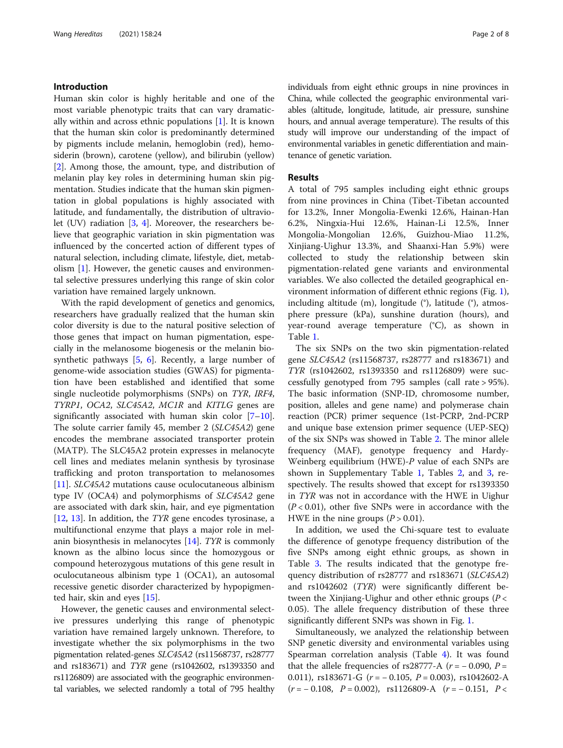#### Introduction

Human skin color is highly heritable and one of the most variable phenotypic traits that can vary dramatically within and across ethnic populations [[1\]](#page-6-0). It is known that the human skin color is predominantly determined by pigments include melanin, hemoglobin (red), hemosiderin (brown), carotene (yellow), and bilirubin (yellow) [[2\]](#page-6-0). Among those, the amount, type, and distribution of melanin play key roles in determining human skin pigmentation. Studies indicate that the human skin pigmentation in global populations is highly associated with latitude, and fundamentally, the distribution of ultraviolet  $(UV)$  radiation  $[3, 4]$  $[3, 4]$  $[3, 4]$  $[3, 4]$ . Moreover, the researchers believe that geographic variation in skin pigmentation was influenced by the concerted action of different types of natural selection, including climate, lifestyle, diet, metabolism [\[1](#page-6-0)]. However, the genetic causes and environmental selective pressures underlying this range of skin color variation have remained largely unknown.

With the rapid development of genetics and genomics, researchers have gradually realized that the human skin color diversity is due to the natural positive selection of those genes that impact on human pigmentation, especially in the melanosome biogenesis or the melanin biosynthetic pathways  $[5, 6]$  $[5, 6]$  $[5, 6]$  $[5, 6]$  $[5, 6]$ . Recently, a large number of genome-wide association studies (GWAS) for pigmentation have been established and identified that some single nucleotide polymorphisms (SNPs) on TYR, IRF4, TYRP1, OCA2, SLC45A2, MC1R and KITLG genes are significantly associated with human skin color  $[7-10]$  $[7-10]$  $[7-10]$  $[7-10]$  $[7-10]$ . The solute carrier family 45, member 2 (SLC45A2) gene encodes the membrane associated transporter protein (MATP). The SLC45A2 protein expresses in melanocyte cell lines and mediates melanin synthesis by tyrosinase trafficking and proton transportation to melanosomes [[11\]](#page-7-0). SLC45A2 mutations cause oculocutaneous albinism type IV (OCA4) and polymorphisms of SLC45A2 gene are associated with dark skin, hair, and eye pigmentation [[12,](#page-7-0) [13\]](#page-7-0). In addition, the *TYR* gene encodes tyrosinase, a multifunctional enzyme that plays a major role in melanin biosynthesis in melanocytes [\[14\]](#page-7-0). TYR is commonly known as the albino locus since the homozygous or compound heterozygous mutations of this gene result in oculocutaneous albinism type 1 (OCA1), an autosomal recessive genetic disorder characterized by hypopigmented hair, skin and eyes [\[15\]](#page-7-0).

However, the genetic causes and environmental selective pressures underlying this range of phenotypic variation have remained largely unknown. Therefore, to investigate whether the six polymorphisms in the two pigmentation related-genes SLC45A2 (rs11568737, rs28777 and rs183671) and TYR gene (rs1042602, rs1393350 and rs1126809) are associated with the geographic environmental variables, we selected randomly a total of 795 healthy individuals from eight ethnic groups in nine provinces in China, while collected the geographic environmental variables (altitude, longitude, latitude, air pressure, sunshine hours, and annual average temperature). The results of this study will improve our understanding of the impact of environmental variables in genetic differentiation and maintenance of genetic variation.

#### Results

A total of 795 samples including eight ethnic groups from nine provinces in China (Tibet-Tibetan accounted for 13.2%, Inner Mongolia-Ewenki 12.6%, Hainan-Han 6.2%, Ningxia-Hui 12.6%, Hainan-Li 12.5%, Inner Mongolia-Mongolian 12.6%, Guizhou-Miao 11.2%, Xinjiang-Uighur 13.3%, and Shaanxi-Han 5.9%) were collected to study the relationship between skin pigmentation-related gene variants and environmental variables. We also collected the detailed geographical environment information of different ethnic regions (Fig. [1](#page-2-0)), including altitude (m), longitude (°), latitude (°), atmosphere pressure (kPa), sunshine duration (hours), and year-round average temperature (°C), as shown in Table [1.](#page-3-0)

The six SNPs on the two skin pigmentation-related gene SLC45A2 (rs11568737, rs28777 and rs183671) and TYR (rs1042602, rs1393350 and rs1126809) were successfully genotyped from 795 samples (call rate > 95%). The basic information (SNP-ID, chromosome number, position, alleles and gene name) and polymerase chain reaction (PCR) primer sequence (1st-PCRP, 2nd-PCRP and unique base extension primer sequence (UEP-SEQ) of the six SNPs was showed in Table [2.](#page-4-0) The minor allele frequency (MAF), genotype frequency and Hardy-Weinberg equilibrium (HWE)-P value of each SNPs are shown in Supplementary Table [1](#page-6-0), Tables [2](#page-4-0), and [3](#page-5-0), respectively. The results showed that except for rs1393350 in TYR was not in accordance with the HWE in Uighur  $(P < 0.01)$ , other five SNPs were in accordance with the HWE in the nine groups  $(P > 0.01)$ .

In addition, we used the Chi-square test to evaluate the difference of genotype frequency distribution of the five SNPs among eight ethnic groups, as shown in Table [3](#page-5-0). The results indicated that the genotype frequency distribution of rs28777 and rs183671 (SLC45A2) and rs1042602 (TYR) were significantly different between the Xinjiang-Uighur and other ethnic groups ( $P <$ 0.05). The allele frequency distribution of these three significantly different SNPs was shown in Fig. [1](#page-2-0).

Simultaneously, we analyzed the relationship between SNP genetic diversity and environmental variables using Spearman correlation analysis (Table [4\)](#page-5-0). It was found that the allele frequencies of rs28777-A ( $r = -0.090$ ,  $P =$ 0.011), rs183671-G  $(r = -0.105, P = 0.003)$ , rs1042602-A  $(r = -0.108, P = 0.002)$ , rs1126809-A  $(r = -0.151, P <$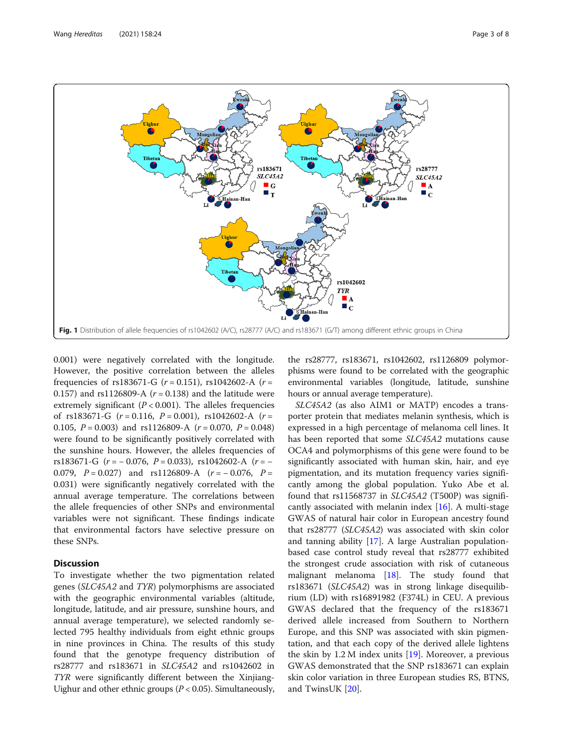<span id="page-2-0"></span>

0.001) were negatively correlated with the longitude. However, the positive correlation between the alleles frequencies of rs183671-G ( $r = 0.151$ ), rs1042602-A ( $r =$ 0.157) and rs1126809-A  $(r = 0.138)$  and the latitude were extremely significant ( $P < 0.001$ ). The alleles frequencies of rs183671-G  $(r = 0.116, P = 0.001)$ , rs1042602-A  $(r =$ 0.105,  $P = 0.003$ ) and rs1126809-A ( $r = 0.070$ ,  $P = 0.048$ ) were found to be significantly positively correlated with the sunshine hours. However, the alleles frequencies of rs183671-G  $(r = -0.076, P = 0.033)$ , rs1042602-A  $(r = -$ 0.079,  $P = 0.027$ ) and rs1126809-A ( $r = -0.076$ ,  $P =$ 0.031) were significantly negatively correlated with the annual average temperature. The correlations between the allele frequencies of other SNPs and environmental variables were not significant. These findings indicate that environmental factors have selective pressure on these SNPs.

### **Discussion**

To investigate whether the two pigmentation related genes (SLC45A2 and TYR) polymorphisms are associated with the geographic environmental variables (altitude, longitude, latitude, and air pressure, sunshine hours, and annual average temperature), we selected randomly selected 795 healthy individuals from eight ethnic groups in nine provinces in China. The results of this study found that the genotype frequency distribution of rs28777 and rs183671 in SLC45A2 and rs1042602 in TYR were significantly different between the Xinjiang-Uighur and other ethnic groups ( $P < 0.05$ ). Simultaneously,

the rs28777, rs183671, rs1042602, rs1126809 polymorphisms were found to be correlated with the geographic environmental variables (longitude, latitude, sunshine hours or annual average temperature).

SLC45A2 (as also AIM1 or MATP) encodes a transporter protein that mediates melanin synthesis, which is expressed in a high percentage of melanoma cell lines. It has been reported that some SLC45A2 mutations cause OCA4 and polymorphisms of this gene were found to be significantly associated with human skin, hair, and eye pigmentation, and its mutation frequency varies significantly among the global population. Yuko Abe et al. found that rs11568737 in SLC45A2 (T500P) was significantly associated with melanin index [[16\]](#page-7-0). A multi-stage GWAS of natural hair color in European ancestry found that rs28777 (SLC45A2) was associated with skin color and tanning ability [[17\]](#page-7-0). A large Australian populationbased case control study reveal that rs28777 exhibited the strongest crude association with risk of cutaneous malignant melanoma [\[18](#page-7-0)]. The study found that rs183671 (SLC45A2) was in strong linkage disequilibrium (LD) with rs16891982 (F374L) in CEU. A previous GWAS declared that the frequency of the rs183671 derived allele increased from Southern to Northern Europe, and this SNP was associated with skin pigmentation, and that each copy of the derived allele lightens the skin by  $1.2 M$  index units  $[19]$  $[19]$ . Moreover, a previous GWAS demonstrated that the SNP rs183671 can explain skin color variation in three European studies RS, BTNS, and TwinsUK [[20](#page-7-0)].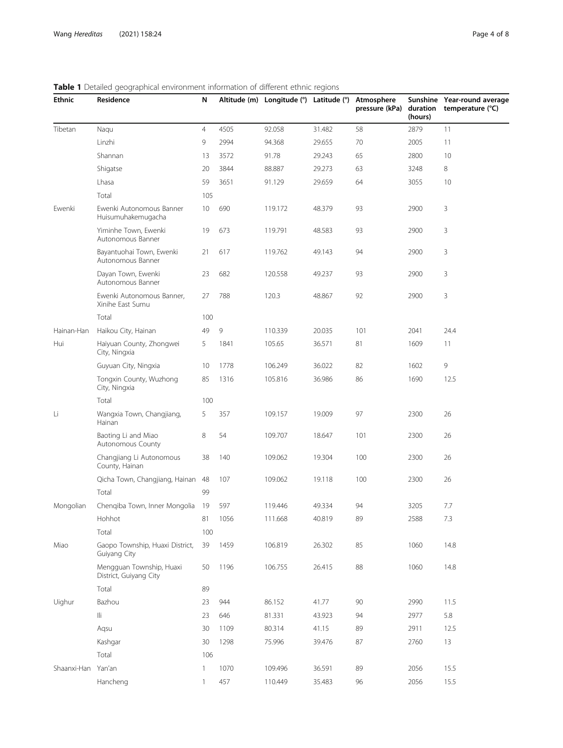| <b>Ethnic</b>      | Residence                                          |                |      | Altitude (m) Longitude (°) Latitude (°) |        | Atmosphere | (hours) | Sunshine Year-round average<br>pressure (kPa) duration temperature (°C) |  |
|--------------------|----------------------------------------------------|----------------|------|-----------------------------------------|--------|------------|---------|-------------------------------------------------------------------------|--|
| Tibetan            | Naqu                                               | $\overline{4}$ | 4505 | 92.058                                  | 31.482 | 58         | 2879    | 11                                                                      |  |
|                    | Linzhi                                             | 9              | 2994 | 94.368                                  | 29.655 | 70         | 2005    | 11                                                                      |  |
|                    | Shannan                                            | 13             | 3572 | 91.78                                   | 29.243 | 65         | 2800    | 10                                                                      |  |
|                    | Shigatse                                           | 20             | 3844 | 88.887                                  | 29.273 | 63         | 3248    | 8                                                                       |  |
|                    | Lhasa                                              | 59             | 3651 | 91.129                                  | 29.659 | 64         | 3055    | 10                                                                      |  |
|                    | Total                                              | 105            |      |                                         |        |            |         |                                                                         |  |
| Ewenki             | Ewenki Autonomous Banner<br>Huisumuhakemugacha     | 10             | 690  | 119.172                                 | 48.379 | 93         | 2900    | 3                                                                       |  |
|                    | Yiminhe Town, Ewenki<br>Autonomous Banner          | 19             | 673  | 119.791                                 | 48.583 | 93         | 2900    | 3                                                                       |  |
|                    | Bayantuohai Town, Ewenki<br>Autonomous Banner      | 21             | 617  | 119.762                                 | 49.143 | 94         | 2900    | 3                                                                       |  |
|                    | Dayan Town, Ewenki<br>Autonomous Banner            | 23             | 682  | 120.558                                 | 49.237 | 93         | 2900    | 3                                                                       |  |
|                    | Ewenki Autonomous Banner,<br>Xinihe East Sumu      | 27             | 788  | 120.3                                   | 48.867 | 92         | 2900    | 3                                                                       |  |
|                    | Total                                              | 100            |      |                                         |        |            |         |                                                                         |  |
| Hainan-Han         | Haikou City, Hainan                                | 49             | 9    | 110.339                                 | 20.035 | 101        | 2041    | 24.4                                                                    |  |
| Hui                | Haiyuan County, Zhongwei<br>City, Ningxia          | 5              | 1841 | 105.65                                  | 36.571 | 81         | 1609    | 11                                                                      |  |
|                    | Guyuan City, Ningxia                               | 10             | 1778 | 106.249                                 | 36.022 | 82         | 1602    | 9                                                                       |  |
|                    | Tongxin County, Wuzhong<br>City, Ningxia           | 85             | 1316 | 105.816                                 | 36.986 | 86         | 1690    | 12.5                                                                    |  |
|                    | Total                                              | 100            |      |                                         |        |            |         |                                                                         |  |
| Li                 | Wangxia Town, Changjiang,<br>Hainan                | 5              | 357  | 109.157                                 | 19.009 | 97         | 2300    | 26                                                                      |  |
|                    | Baoting Li and Miao<br>Autonomous County           | 8              | 54   | 109.707                                 | 18.647 | 101        | 2300    | 26                                                                      |  |
|                    | Changjiang Li Autonomous<br>County, Hainan         | 38             | 140  | 109.062                                 | 19.304 | 100        | 2300    | 26                                                                      |  |
|                    | Qicha Town, Changjiang, Hainan                     | 48             | 107  | 109.062                                 | 19.118 | 100        | 2300    | 26                                                                      |  |
|                    | Total                                              | 99             |      |                                         |        |            |         |                                                                         |  |
| Mongolian          | Chengiba Town, Inner Mongolia 19                   |                | 597  | 119.446                                 | 49.334 | 94         | 3205    | 7.7                                                                     |  |
|                    | Hohhot                                             | 81             | 1056 | 111.668                                 | 40.819 | 89         | 2588    | 7.3                                                                     |  |
|                    | Total                                              | 100            |      |                                         |        |            |         |                                                                         |  |
| Miao               | Gaopo Township, Huaxi District,<br>Guiyang City    | 39             | 1459 | 106.819                                 | 26.302 | 85         | 1060    | 14.8                                                                    |  |
|                    | Mengguan Township, Huaxi<br>District, Guiyang City | 50             | 1196 | 106.755                                 | 26.415 | 88         | 1060    | 14.8                                                                    |  |
|                    | Total                                              | 89             |      |                                         |        |            |         |                                                                         |  |
| Uighur             | Bazhou                                             | 23             | 944  | 86.152                                  | 41.77  | 90         | 2990    | 11.5                                                                    |  |
|                    | lli.                                               | 23             | 646  | 81.331                                  | 43.923 | 94         | 2977    | 5.8                                                                     |  |
|                    | Aqsu                                               | 30             | 1109 | 80.314                                  | 41.15  | 89         | 2911    | 12.5                                                                    |  |
|                    | Kashgar                                            | 30             | 1298 | 75.996                                  | 39.476 | 87         | 2760    | 13                                                                      |  |
|                    | Total                                              | 106            |      |                                         |        |            |         |                                                                         |  |
| Shaanxi-Han Yan'an |                                                    | 1              | 1070 | 109.496                                 | 36.591 | 89         | 2056    | 15.5                                                                    |  |
|                    | Hancheng                                           | $\mathbf{1}$   | 457  | 110.449                                 | 35.483 | 96         | 2056    | 15.5                                                                    |  |

## <span id="page-3-0"></span>Table 1 Detailed geographical environment information of different ethnic regions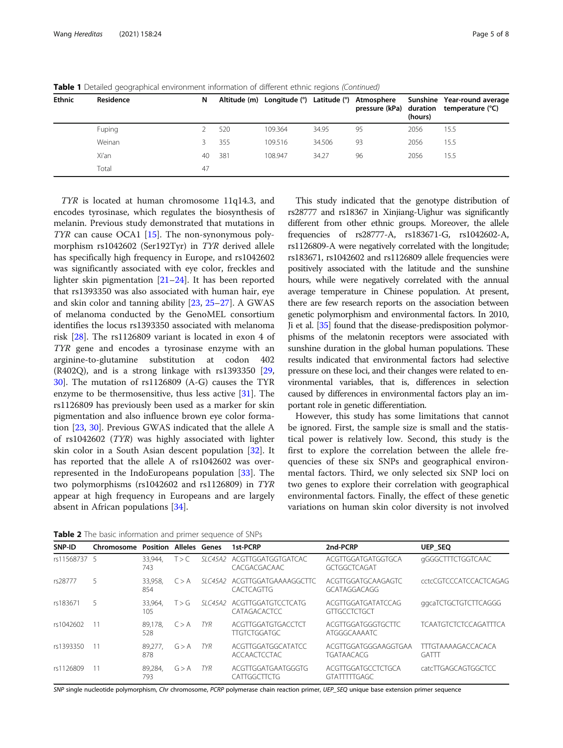| <b>Ethnic</b> | Residence | N  |     |         |        | Altitude (m) Longitude (°) Latitude (°) Atmosphere | (hours) | Sunshine Year-round average<br>pressure (kPa) duration temperature (°C) |
|---------------|-----------|----|-----|---------|--------|----------------------------------------------------|---------|-------------------------------------------------------------------------|
|               | Fuping    |    | 520 | 109.364 | 34.95  | 95                                                 | 2056    | 15.5                                                                    |
|               | Weinan    |    | 355 | 109.516 | 34.506 | 93                                                 | 2056    | 15.5                                                                    |
|               | Xi'an     | 40 | 381 | 108.947 | 34.27  | 96                                                 | 2056    | 15.5                                                                    |
|               | Total     | 47 |     |         |        |                                                    |         |                                                                         |

<span id="page-4-0"></span>**Table 1** Detailed geographical environment information of different ethnic regions (Continued)

TYR is located at human chromosome 11q14.3, and encodes tyrosinase, which regulates the biosynthesis of melanin. Previous study demonstrated that mutations in TYR can cause OCA1  $[15]$ . The non-synonymous polymorphism rs1042602 (Ser192Tyr) in TYR derived allele has specifically high frequency in Europe, and rs1042602 was significantly associated with eye color, freckles and lighter skin pigmentation [\[21](#page-7-0)–[24\]](#page-7-0). It has been reported that rs1393350 was also associated with human hair, eye and skin color and tanning ability [\[23,](#page-7-0) [25](#page-7-0)–[27\]](#page-7-0). A GWAS of melanoma conducted by the GenoMEL consortium identifies the locus rs1393350 associated with melanoma risk [[28](#page-7-0)]. The rs1126809 variant is located in exon 4 of TYR gene and encodes a tyrosinase enzyme with an arginine-to-glutamine substitution at codon 402 (R402Q), and is a strong linkage with rs1393350 [[29](#page-7-0), [30\]](#page-7-0). The mutation of rs1126809 (A-G) causes the TYR enzyme to be thermosensitive, thus less active [[31](#page-7-0)]. The rs1126809 has previously been used as a marker for skin pigmentation and also influence brown eye color formation [\[23](#page-7-0), [30](#page-7-0)]. Previous GWAS indicated that the allele A of rs1042602 (TYR) was highly associated with lighter skin color in a South Asian descent population [[32\]](#page-7-0). It has reported that the allele A of rs1042602 was overrepresented in the IndoEuropeans population [[33\]](#page-7-0). The two polymorphisms (rs1042602 and rs1126809) in TYR appear at high frequency in Europeans and are largely absent in African populations [\[34\]](#page-7-0).

This study indicated that the genotype distribution of rs28777 and rs18367 in Xinjiang-Uighur was significantly different from other ethnic groups. Moreover, the allele frequencies of rs28777-A, rs183671-G, rs1042602-A, rs1126809-A were negatively correlated with the longitude; rs183671, rs1042602 and rs1126809 allele frequencies were positively associated with the latitude and the sunshine hours, while were negatively correlated with the annual average temperature in Chinese population. At present, there are few research reports on the association between genetic polymorphism and environmental factors. In 2010, Ji et al. [\[35](#page-7-0)] found that the disease-predisposition polymorphisms of the melatonin receptors were associated with sunshine duration in the global human populations. These results indicated that environmental factors had selective pressure on these loci, and their changes were related to environmental variables, that is, differences in selection caused by differences in environmental factors play an important role in genetic differentiation.

However, this study has some limitations that cannot be ignored. First, the sample size is small and the statistical power is relatively low. Second, this study is the first to explore the correlation between the allele frequencies of these six SNPs and geographical environmental factors. Third, we only selected six SNP loci on two genes to explore their correlation with geographical environmental factors. Finally, the effect of these genetic variations on human skin color diversity is not involved

**Table 2** The basic information and primer sequence of SNPs

| SNP-ID       | <b>Chromosome Position Alleles Genes</b> |                |       |            | 1st-PCRP                                          | 2nd-PCRP                                  | <b>UEP SEQ</b>                            |
|--------------|------------------------------------------|----------------|-------|------------|---------------------------------------------------|-------------------------------------------|-------------------------------------------|
| rs11568737 5 |                                          | 33.944.<br>743 | T > C |            | SLC45A2 ACGTTGGATGGTGATCAC<br>CACGACGACAAC        | ACGTTGGATGATGGTGCA<br>GCTGGCTCAGAT        | gGGGCTTTCTGGTCAAC                         |
| rs28777      | 5.                                       | 33.958.<br>854 | C > A | SI C45A2   | ACGTTGGATGAAAAGGCTTC<br>CACTCAGTTG                | ACGTTGGATGCAAGAGTC<br>GCATAGGACAGG        | CCCGTCCCATCCACTCAGAG                      |
| rs183671     | 5                                        | 33.964.<br>105 | T > G |            | SIC45A2 ACGTTGGATGTCCTCATG<br><b>CATAGACACTCC</b> | ACGTTGGATGATATCCAG<br>GITGCCTCTGCT        | ggcaTCTGCTGTCTTCAGGG                      |
| rs1042602    |                                          | 89.178.<br>528 | C > A | TYR        | ACGTTGGATGTGACCTCT<br><b>TTGTCTGGATGC</b>         | ACGTTGGATGGGTGCTTC<br>ATGGGCAAAATC        | <b>TCAATGTCTCTCCAGATTTCA</b>              |
| rs1393350    |                                          | 89.277.<br>878 | G > A | TYR.       | ACGTTGGATGGCATATCC<br><b>ACCAACTCCTAC</b>         | ACGTTGGATGGGAAGGTGAA<br><b>TGATAACACG</b> | <b>TTTGTAAAAGACCACACA</b><br><b>GATTT</b> |
| rs1126809    |                                          | 89.284.<br>793 | G > A | <b>TYR</b> | ACGTTGGATGAATGGGTG<br>CATTGGCTTCTG                | ACGTTGGATGCCTCTGCA<br><b>GTATTTTTGAGC</b> | catcTTGAGCAGTGGCTCC                       |

SNP single nucleotide polymorphism, Chr chromosome, PCRP polymerase chain reaction primer, UEP\_SEQ unique base extension primer sequence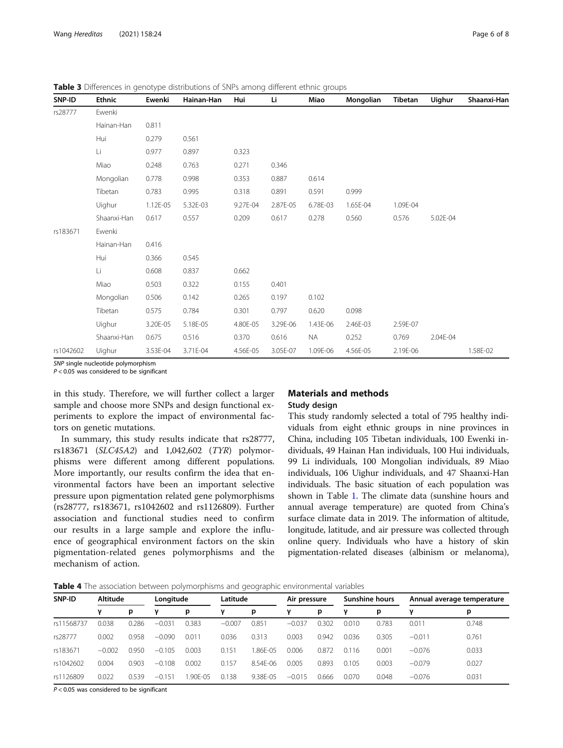| SNP-ID    | <b>Ethnic</b> | Ewenki   | Hainan-Han | Hui      | Li       | Miao      | Mongolian | Tibetan  | <b>Uighur</b> | Shaanxi-Han |
|-----------|---------------|----------|------------|----------|----------|-----------|-----------|----------|---------------|-------------|
| rs28777   | Ewenki        |          |            |          |          |           |           |          |               |             |
|           | Hainan-Han    | 0.811    |            |          |          |           |           |          |               |             |
|           | Hui           | 0.279    | 0.561      |          |          |           |           |          |               |             |
|           | Li            | 0.977    | 0.897      | 0.323    |          |           |           |          |               |             |
|           | Miao          | 0.248    | 0.763      | 0.271    | 0.346    |           |           |          |               |             |
|           | Mongolian     | 0.778    | 0.998      | 0.353    | 0.887    | 0.614     |           |          |               |             |
|           | Tibetan       | 0.783    | 0.995      | 0.318    | 0.891    | 0.591     | 0.999     |          |               |             |
|           | Uighur        | 1.12E-05 | 5.32E-03   | 9.27E-04 | 2.87E-05 | 6.78E-03  | 1.65E-04  | 1.09E-04 |               |             |
|           | Shaanxi-Han   | 0.617    | 0.557      | 0.209    | 0.617    | 0.278     | 0.560     | 0.576    | 5.02E-04      |             |
| rs183671  | Ewenki        |          |            |          |          |           |           |          |               |             |
|           | Hainan-Han    | 0.416    |            |          |          |           |           |          |               |             |
|           | Hui           | 0.366    | 0.545      |          |          |           |           |          |               |             |
|           | Li            | 0.608    | 0.837      | 0.662    |          |           |           |          |               |             |
|           | Miao          | 0.503    | 0.322      | 0.155    | 0.401    |           |           |          |               |             |
|           | Mongolian     | 0.506    | 0.142      | 0.265    | 0.197    | 0.102     |           |          |               |             |
|           | Tibetan       | 0.575    | 0.784      | 0.301    | 0.797    | 0.620     | 0.098     |          |               |             |
|           | Uighur        | 3.20E-05 | 5.18E-05   | 4.80E-05 | 3.29E-06 | 1.43E-06  | 2.46E-03  | 2.59E-07 |               |             |
|           | Shaanxi-Han   | 0.675    | 0.516      | 0.370    | 0.616    | <b>NA</b> | 0.252     | 0.769    | 2.04E-04      |             |
| rs1042602 | Uighur        | 3.53E-04 | 3.71E-04   | 4.56E-05 | 3.05E-07 | 1.09E-06  | 4.56E-05  | 2.19E-06 |               | 1.58E-02    |

<span id="page-5-0"></span>Table 3 Differences in genotype distributions of SNPs among different ethnic groups

SNP single nucleotide polymorphism

 $P < 0.05$  was considered to be significant

in this study. Therefore, we will further collect a larger sample and choose more SNPs and design functional experiments to explore the impact of environmental factors on genetic mutations.

In summary, this study results indicate that rs28777, rs183671 (SLC45A2) and 1,042,602 (TYR) polymorphisms were different among different populations. More importantly, our results confirm the idea that environmental factors have been an important selective pressure upon pigmentation related gene polymorphisms (rs28777, rs183671, rs1042602 and rs1126809). Further association and functional studies need to confirm our results in a large sample and explore the influence of geographical environment factors on the skin pigmentation-related genes polymorphisms and the mechanism of action.

## Materials and methods

#### Study design

This study randomly selected a total of 795 healthy individuals from eight ethnic groups in nine provinces in China, including 105 Tibetan individuals, 100 Ewenki individuals, 49 Hainan Han individuals, 100 Hui individuals, 99 Li individuals, 100 Mongolian individuals, 89 Miao individuals, 106 Uighur individuals, and 47 Shaanxi-Han individuals. The basic situation of each population was shown in Table [1.](#page-3-0) The climate data (sunshine hours and annual average temperature) are quoted from China's surface climate data in 2019. The information of altitude, longitude, latitude, and air pressure was collected through online query. Individuals who have a history of skin pigmentation-related diseases (albinism or melanoma),

Table 4 The association between polymorphisms and geographic environmental variables

| SNP-ID     | Altitude |       | Longitude |         | Latitude |              | Air pressure |       | <b>Sunshine hours</b> |       | Annual average temperature |       |
|------------|----------|-------|-----------|---------|----------|--------------|--------------|-------|-----------------------|-------|----------------------------|-------|
|            | v        | p     | γ         | р       |          | р            | ν            | р     | ν                     | р     | ν                          | р     |
| rs11568737 | 0.038    | 0.286 | $-0.031$  | 0.383   | $-0.007$ | 0.851        | $-0.037$     | 0.302 | 0.010                 | 0.783 | 0.011                      | 0.748 |
| rs28777    | 0.002    | 0.958 | $-0.090$  | 0.011   | 0.036    | 0.313        | 0.003        | 0.942 | 0.036                 | 0.305 | $-0.011$                   | 0.761 |
| rs183671   | $-0.002$ | 0.950 | $-0.105$  | 0.003   | 0.151    | 1.86F-05     | 0.006        | 0.872 | 0.116                 | 0.001 | $-0.076$                   | 0.033 |
| rs1042602  | 0.004    | 0.903 | $-0.108$  | 0.002   | 0.157    | $8.54F - 06$ | 0.005        | 0.893 | 0.105                 | 0.003 | $-0.079$                   | 0.027 |
| rs1126809  | 0.022    | 0.539 | $-0.151$  | .90F-05 | 0.138    | 9.38F-05     | $-0.015$     | 0.666 | 0.070                 | 0.048 | $-0.076$                   | 0.031 |

 $P < 0.05$  was considered to be significant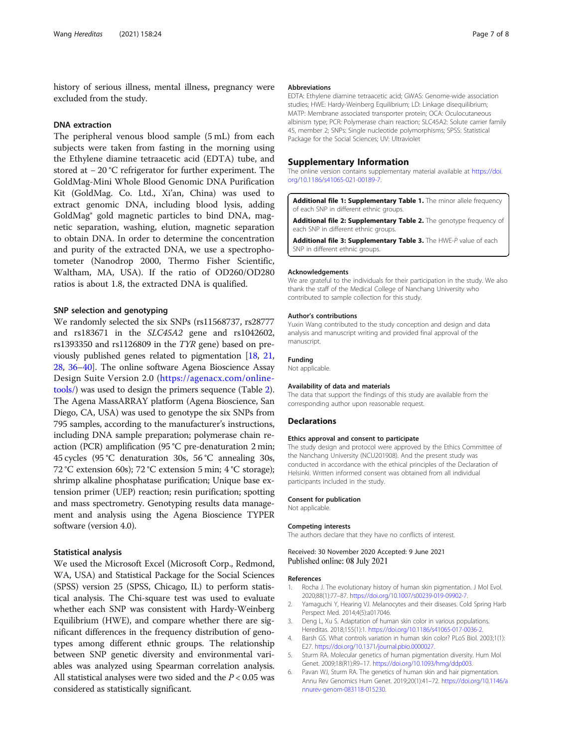<span id="page-6-0"></span>history of serious illness, mental illness, pregnancy were excluded from the study.

#### DNA extraction

The peripheral venous blood sample (5 mL) from each subjects were taken from fasting in the morning using the Ethylene diamine tetraacetic acid (EDTA) tube, and stored at − 20 °C refrigerator for further experiment. The GoldMag-Mini Whole Blood Genomic DNA Purification Kit (GoldMag. Co. Ltd., Xi'an, China) was used to extract genomic DNA, including blood lysis, adding GoldMag® gold magnetic particles to bind DNA, magnetic separation, washing, elution, magnetic separation to obtain DNA. In order to determine the concentration and purity of the extracted DNA, we use a spectrophotometer (Nanodrop 2000, Thermo Fisher Scientific, Waltham, MA, USA). If the ratio of OD260/OD280 ratios is about 1.8, the extracted DNA is qualified.

#### SNP selection and genotyping

We randomly selected the six SNPs (rs11568737, rs28777 and rs183671 in the SLC45A2 gene and rs1042602, rs1393350 and rs1126809 in the TYR gene) based on previously published genes related to pigmentation [[18](#page-7-0), [21](#page-7-0), [28](#page-7-0), [36](#page-7-0)–[40](#page-7-0)]. The online software Agena Bioscience Assay Design Suite Version 2.0 [\(https://agenacx.com/online](https://agenacx.com/online-tools/)[tools/](https://agenacx.com/online-tools/)) was used to design the primers sequence (Table [2](#page-4-0)). The Agena MassARRAY platform (Agena Bioscience, San Diego, CA, USA) was used to genotype the six SNPs from 795 samples, according to the manufacturer's instructions, including DNA sample preparation; polymerase chain reaction (PCR) amplification (95 °C pre-denaturation 2 min; 45 cycles (95 °C denaturation 30s, 56 °C annealing 30s, 72 °C extension 60s); 72 °C extension 5 min; 4 °C storage); shrimp alkaline phosphatase purification; Unique base extension primer (UEP) reaction; resin purification; spotting and mass spectrometry. Genotyping results data management and analysis using the Agena Bioscience TYPER software (version 4.0).

#### Statistical analysis

We used the Microsoft Excel (Microsoft Corp., Redmond, WA, USA) and Statistical Package for the Social Sciences (SPSS) version 25 (SPSS, Chicago, IL) to perform statistical analysis. The Chi-square test was used to evaluate whether each SNP was consistent with Hardy-Weinberg Equilibrium (HWE), and compare whether there are significant differences in the frequency distribution of genotypes among different ethnic groups. The relationship between SNP genetic diversity and environmental variables was analyzed using Spearman correlation analysis. All statistical analyses were two sided and the  $P < 0.05$  was considered as statistically significant.

#### Abbreviations

EDTA: Ethylene diamine tetraacetic acid; GWAS: Genome-wide association studies; HWE: Hardy-Weinberg Equilibrium; LD: Linkage disequilibrium; MATP: Membrane associated transporter protein; OCA: Oculocutaneous albinism type; PCR: Polymerase chain reaction; SLC45A2: Solute carrier family 45, member 2; SNPs: Single nucleotide polymorphisms; SPSS: Statistical Package for the Social Sciences; UV: Ultraviolet

#### Supplementary Information

The online version contains supplementary material available at [https://doi.](https://doi.org/10.1186/s41065-021-00189-7) [org/10.1186/s41065-021-00189-7.](https://doi.org/10.1186/s41065-021-00189-7)

Additional file 1: Supplementary Table 1. The minor allele frequency of each SNP in different ethnic groups.

Additional file 2: Supplementary Table 2. The genotype frequency of each SNP in different ethnic groups.

Additional file 3: Supplementary Table 3. The HWE-P value of each SNP in different ethnic groups.

#### Acknowledgements

We are grateful to the individuals for their participation in the study. We also thank the staff of the Medical College of Nanchang University who contributed to sample collection for this study.

#### Author's contributions

Yuxin Wang contributed to the study conception and design and data analysis and manuscript writing and provided final approval of the manuscript.

#### Funding

Not applicable.

#### Availability of data and materials

The data that support the findings of this study are available from the corresponding author upon reasonable request.

#### **Declarations**

#### Ethics approval and consent to participate

The study design and protocol were approved by the Ethics Committee of the Nanchang University (NCU201908). And the present study was conducted in accordance with the ethical principles of the Declaration of Helsinki. Written informed consent was obtained from all individual participants included in the study.

#### Consent for publication

Not applicable.

#### Competing interests

The authors declare that they have no conflicts of interest.

Received: 30 November 2020 Accepted: 9 June 2021 Published online: 08 July 2021

#### References

- 1. Rocha J. The evolutionary history of human skin pigmentation. J Mol Evol. 2020;88(1):77–87. <https://doi.org/10.1007/s00239-019-09902-7>.
- 2. Yamaguchi Y, Hearing VJ. Melanocytes and their diseases. Cold Spring Harb Perspect Med. 2014;4(5):a017046.
- 3. Deng L, Xu S. Adaptation of human skin color in various populations. Hereditas. 2018;155(1):1. <https://doi.org/10.1186/s41065-017-0036-2>.
- 4. Barsh GS. What controls variation in human skin color? PLoS Biol. 2003;1(1): E27. <https://doi.org/10.1371/journal.pbio.0000027>.
- 5. Sturm RA. Molecular genetics of human pigmentation diversity. Hum Mol Genet. 2009;18(R1):R9–17. <https://doi.org/10.1093/hmg/ddp003>.
- 6. Pavan WJ, Sturm RA. The genetics of human skin and hair pigmentation. Annu Rev Genomics Hum Genet. 2019;20(1):41–72. [https://doi.org/10.1146/a](https://doi.org/10.1146/annurev-genom-083118-015230) [nnurev-genom-083118-015230.](https://doi.org/10.1146/annurev-genom-083118-015230)